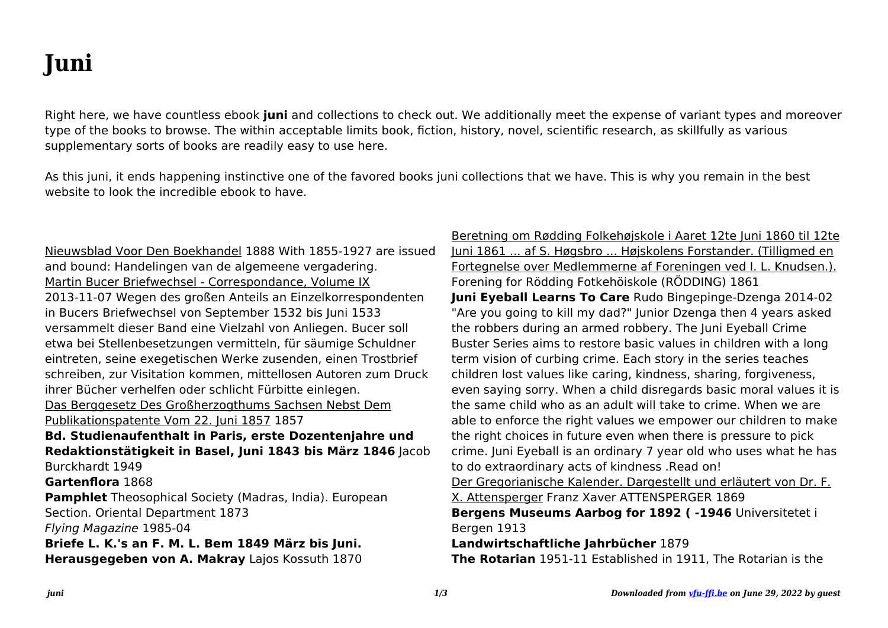## **Juni**

Right here, we have countless ebook **juni** and collections to check out. We additionally meet the expense of variant types and moreover type of the books to browse. The within acceptable limits book, fiction, history, novel, scientific research, as skillfully as various supplementary sorts of books are readily easy to use here.

As this juni, it ends happening instinctive one of the favored books juni collections that we have. This is why you remain in the best website to look the incredible ebook to have.

Nieuwsblad Voor Den Boekhandel 1888 With 1855-1927 are issued and bound: Handelingen van de algemeene vergadering. Martin Bucer Briefwechsel - Correspondance, Volume IX 2013-11-07 Wegen des großen Anteils an Einzelkorrespondenten in Bucers Briefwechsel von September 1532 bis Juni 1533 versammelt dieser Band eine Vielzahl von Anliegen. Bucer soll etwa bei Stellenbesetzungen vermitteln, für säumige Schuldner eintreten, seine exegetischen Werke zusenden, einen Trostbrief schreiben, zur Visitation kommen, mittellosen Autoren zum Druck ihrer Bücher verhelfen oder schlicht Fürbitte einlegen. Das Berggesetz Des Großherzogthums Sachsen Nebst Dem Publikationspatente Vom 22. Juni 1857 1857 **Bd. Studienaufenthalt in Paris, erste Dozentenjahre und Redaktionstätigkeit in Basel, Juni 1843 bis März 1846** Jacob Burckhardt 1949 **Gartenflora** 1868 **Pamphlet** Theosophical Society (Madras, India). European Section. Oriental Department 1873 Flying Magazine 1985-04 **Briefe L. K.'s an F. M. L. Bem 1849 März bis Juni. Herausgegeben von A. Makray** Lajos Kossuth 1870

Beretning om Rødding Folkehøjskole i Aaret 12te Juni 1860 til 12te Juni 1861 ... af S. Høgsbro ... Højskolens Forstander. (Tilligmed en Fortegnelse over Medlemmerne af Foreningen ved I. L. Knudsen.). Forening for Rödding Fotkehöiskole (RÖDDING) 1861 **Juni Eyeball Learns To Care** Rudo Bingepinge-Dzenga 2014-02 "Are you going to kill my dad?" Junior Dzenga then 4 years asked the robbers during an armed robbery. The Juni Eyeball Crime Buster Series aims to restore basic values in children with a long term vision of curbing crime. Each story in the series teaches children lost values like caring, kindness, sharing, forgiveness, even saying sorry. When a child disregards basic moral values it is the same child who as an adult will take to crime. When we are able to enforce the right values we empower our children to make the right choices in future even when there is pressure to pick crime. Juni Eyeball is an ordinary 7 year old who uses what he has to do extraordinary acts of kindness .Read on! Der Gregorianische Kalender. Dargestellt und erläutert von Dr. F. X. Attensperger Franz Xaver ATTENSPERGER 1869 **Bergens Museums Aarbog for 1892 ( -1946** Universitetet i Bergen 1913 **Landwirtschaftliche Jahrbücher** 1879 **The Rotarian** 1951-11 Established in 1911, The Rotarian is the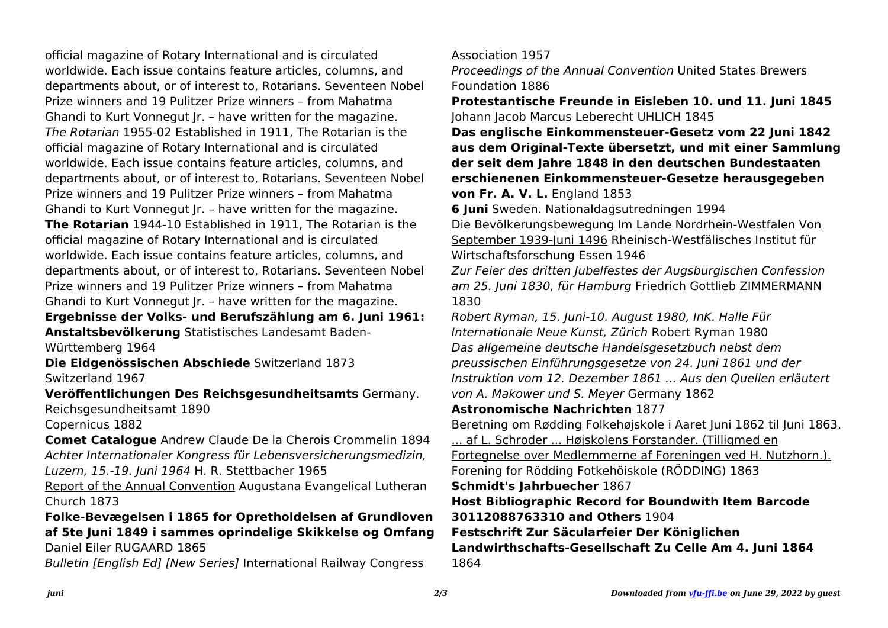official magazine of Rotary International and is circulated worldwide. Each issue contains feature articles, columns, and departments about, or of interest to, Rotarians. Seventeen Nobel Prize winners and 19 Pulitzer Prize winners – from Mahatma Ghandi to Kurt Vonnegut Jr. – have written for the magazine. The Rotarian 1955-02 Established in 1911, The Rotarian is the official magazine of Rotary International and is circulated worldwide. Each issue contains feature articles, columns, and departments about, or of interest to, Rotarians. Seventeen Nobel Prize winners and 19 Pulitzer Prize winners – from Mahatma Ghandi to Kurt Vonnegut Jr. – have written for the magazine. **The Rotarian** 1944-10 Established in 1911, The Rotarian is the official magazine of Rotary International and is circulated worldwide. Each issue contains feature articles, columns, and departments about, or of interest to, Rotarians. Seventeen Nobel Prize winners and 19 Pulitzer Prize winners – from Mahatma Ghandi to Kurt Vonnegut Jr. – have written for the magazine.

**Ergebnisse der Volks- und Berufszählung am 6. Juni 1961: Anstaltsbevölkerung** Statistisches Landesamt Baden-Württemberg 1964

**Die Eidgenössischen Abschiede** Switzerland 1873 Switzerland 1967

**Veröffentlichungen Des Reichsgesundheitsamts** Germany. Reichsgesundheitsamt 1890

Copernicus 1882

**Comet Catalogue** Andrew Claude De la Cherois Crommelin 1894 Achter Internationaler Kongress für Lebensversicherungsmedizin, Luzern, 15.-19. Juni 1964 H. R. Stettbacher 1965

Report of the Annual Convention Augustana Evangelical Lutheran Church 1873

**Folke-Bevægelsen i 1865 for Opretholdelsen af Grundloven af 5te Juni 1849 i sammes oprindelige Skikkelse og Omfang** Daniel Eiler RUGAARD 1865

Bulletin [English Ed] [New Series] International Railway Congress

Association 1957

Proceedings of the Annual Convention United States Brewers Foundation 1886

**Protestantische Freunde in Eisleben 10. und 11. Juni 1845** Johann Jacob Marcus Leberecht UHLICH 1845

**Das englische Einkommensteuer-Gesetz vom 22 Juni 1842 aus dem Original-Texte übersetzt, und mit einer Sammlung der seit dem Jahre 1848 in den deutschen Bundestaaten erschienenen Einkommensteuer-Gesetze herausgegeben**

**von Fr. A. V. L.** England 1853

**6 Juni** Sweden. Nationaldagsutredningen 1994

Die Bevölkerungsbewegung Im Lande Nordrhein-Westfalen Von September 1939-Juni 1496 Rheinisch-Westfälisches Institut für Wirtschaftsforschung Essen 1946

Zur Feier des dritten Jubelfestes der Augsburgischen Confession am 25. Juni 1830, für Hamburg Friedrich Gottlieb ZIMMERMANN 1830

Robert Ryman, 15. Juni-10. August 1980, InK. Halle Für Internationale Neue Kunst, Zürich Robert Ryman 1980 Das allgemeine deutsche Handelsgesetzbuch nebst dem preussischen Einführungsgesetze von 24. Juni 1861 und der Instruktion vom 12. Dezember 1861 ... Aus den Quellen erläutert von A. Makower und S. Meyer Germany 1862

**Astronomische Nachrichten** 1877

Beretning om Rødding Folkehøjskole i Aaret Juni 1862 til Juni 1863. ... af L. Schroder ... Højskolens Forstander. (Tilligmed en Fortegnelse over Medlemmerne af Foreningen ved H. Nutzhorn.). Forening for Rödding Fotkehöiskole (RÖDDING) 1863 **Schmidt's Jahrbuecher** 1867

**Host Bibliographic Record for Boundwith Item Barcode 30112088763310 and Others** 1904

**Festschrift Zur Säcularfeier Der Königlichen Landwirthschafts-Gesellschaft Zu Celle Am 4. Juni 1864** 1864